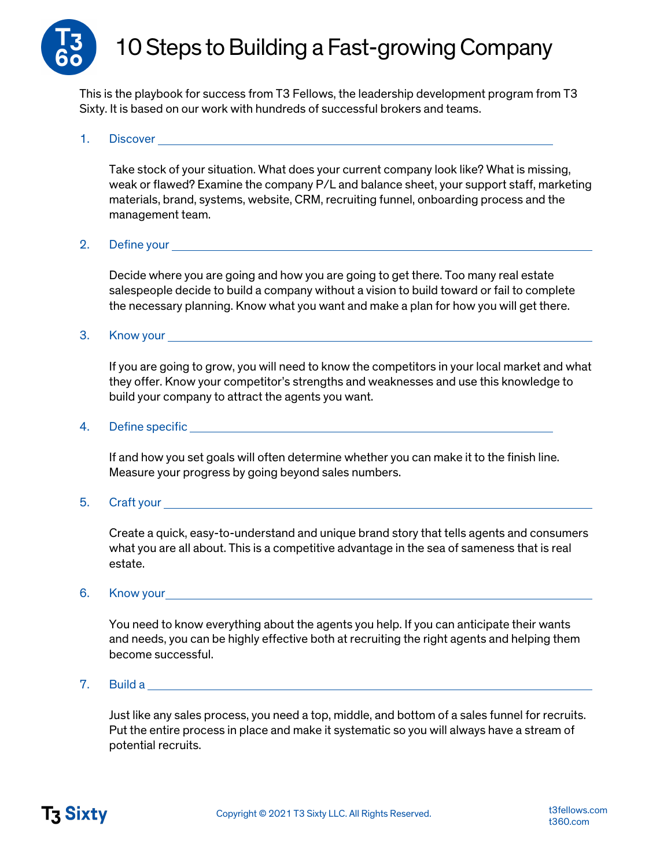

# 10 Steps to Building a Fast-growing Company

This is the playbook for success from T3 Fellows, the leadership development program from T3 Sixty. It is based on our work with hundreds of successful brokers and teams.

## 1. Discover

Take stock of your situation. What does your current company look like? What is missing, weak or flawed? Examine the company P/L and balance sheet, your support staff, marketing materials, brand, systems, website, CRM, recruiting funnel, onboarding process and the management team.

#### 2. Define your

Decide where you are going and how you are going to get there. Too many real estate salespeople decide to build a company without a vision to build toward or fail to complete the necessary planning. Know what you want and make a plan for how you will get there.

3. Know your

If you are going to grow, you will need to know the competitors in your local market and what they offer. Know your competitor's strengths and weaknesses and use this knowledge to build your company to attract the agents you want.

4. Define specific

If and how you set goals will often determine whether you can make it to the finish line. Measure your progress by going beyond sales numbers.

5. Craft your

Create a quick, easy-to-understand and unique brand story that tells agents and consumers what you are all about. This is a competitive advantage in the sea of sameness that is real estate.

#### 6. Know your

You need to know everything about the agents you help. If you can anticipate their wants and needs, you can be highly effective both at recruiting the right agents and helping them become successful.

7. Build a

Just like any sales process, you need a top, middle, and bottom of a sales funnel for recruits. Put the entire process in place and make it systematic so you will always have a stream of potential recruits.